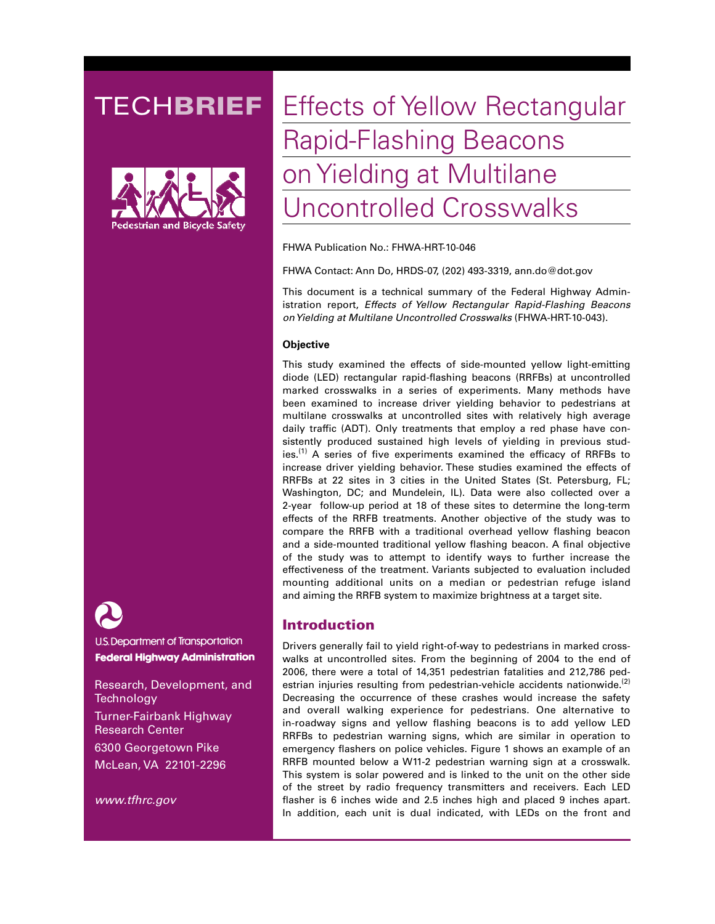

**U.S. Department of Transportation Federal Highway Administration** 

Research, Development, and **Technology** Turner-Fairbank Highway Research Center 6300 Georgetown Pike McLean, VA 22101-2296

*www.tfhrc.gov*

# **TECHBRIEF** Effects of Yellow Rectangular Rapid-Flashing Beacons on Yielding at Multilane Uncontrolled Crosswalks

FHWA Publication No.: FHWA-HRT-10-046

FHWA Contact: Ann Do, HRDS-07, (202) 493-3319, ann.do@dot.gov

This document is a technical summary of the Federal Highway Administration report, *Effects of Yellow Rectangular Rapid-Flashing Beacons on Yielding at Multilane Uncontrolled Crosswalks* (FHWA-HRT-10-043).

### **Objective**

This study examined the effects of side-mounted yellow light-emitting diode (LED) rectangular rapid-flashing beacons (RRFBs) at uncontrolled marked crosswalks in a series of experiments. Many methods have been examined to increase driver yielding behavior to pedestrians at multilane crosswalks at uncontrolled sites with relatively high average daily traffic (ADT). Only treatments that employ a red phase have consistently produced sustained high levels of yielding in previous studies.<sup> $(1)$ </sup> A series of five experiments examined the efficacy of RRFBs to increase driver yielding behavior. These studies examined the effects of RRFBs at 22 sites in 3 cities in the United States (St. Petersburg, FL; Washington, DC; and Mundelein, IL). Data were also collected over a 2-year follow-up period at 18 of these sites to determine the long-term effects of the RRFB treatments. Another objective of the study was to compare the RRFB with a traditional overhead yellow flashing beacon and a side-mounted traditional yellow flashing beacon. A final objective of the study was to attempt to identify ways to further increase the effectiveness of the treatment. Variants subjected to evaluation included mounting additional units on a median or pedestrian refuge island and aiming the RRFB system to maximize brightness at a target site.

# Introduction

Drivers generally fail to yield right-of-way to pedestrians in marked crosswalks at uncontrolled sites. From the beginning of 2004 to the end of 2006, there were a total of 14,351 pedestrian fatalities and 212,786 pedestrian injuries resulting from pedestrian-vehicle accidents nationwide.<sup>(2)</sup> Decreasing the occurrence of these crashes would increase the safety and overall walking experience for pedestrians. One alternative to in-roadway signs and yellow flashing beacons is to add yellow LED RRFBs to pedestrian warning signs, which are similar in operation to emergency flashers on police vehicles. Figure 1 shows an example of an RRFB mounted below a W11-2 pedestrian warning sign at a crosswalk. This system is solar powered and is linked to the unit on the other side of the street by radio frequency transmitters and receivers. Each LED flasher is 6 inches wide and 2.5 inches high and placed 9 inches apart. In addition, each unit is dual indicated, with LEDs on the front and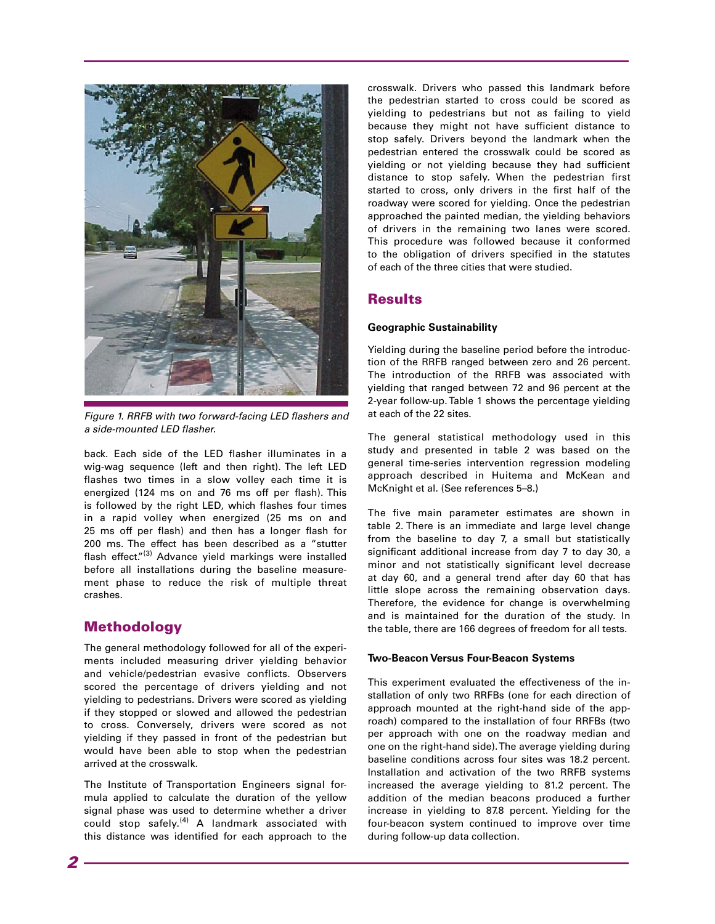

*Figure 1. RRFB with two forward-facing LED flashers and a side-mounted LED flasher.*

back. Each side of the LED flasher illuminates in a wig-wag sequence (left and then right). The left LED flashes two times in a slow volley each time it is energized (124 ms on and 76 ms off per flash). This is followed by the right LED, which flashes four times in a rapid volley when energized (25 ms on and 25 ms off per flash) and then has a longer flash for 200 ms. The effect has been described as a "stutter flash effect."<sup>(3)</sup> Advance yield markings were installed before all installations during the baseline measurement phase to reduce the risk of multiple threat crashes.

# Methodology

The general methodology followed for all of the experiments included measuring driver yielding behavior and vehicle/pedestrian evasive conflicts. Observers scored the percentage of drivers yielding and not yielding to pedestrians. Drivers were scored as yielding if they stopped or slowed and allowed the pedestrian to cross. Conversely, drivers were scored as not yielding if they passed in front of the pedestrian but would have been able to stop when the pedestrian arrived at the crosswalk.

The Institute of Transportation Engineers signal formula applied to calculate the duration of the yellow signal phase was used to determine whether a driver could stop safely.<sup>(4)</sup> A landmark associated with this distance was identified for each approach to the

crosswalk. Drivers who passed this landmark before the pedestrian started to cross could be scored as yielding to pedestrians but not as failing to yield because they might not have sufficient distance to stop safely. Drivers beyond the landmark when the pedestrian entered the crosswalk could be scored as yielding or not yielding because they had sufficient distance to stop safely. When the pedestrian first started to cross, only drivers in the first half of the roadway were scored for yielding. Once the pedestrian approached the painted median, the yielding behaviors of drivers in the remaining two lanes were scored. This procedure was followed because it conformed to the obligation of drivers specified in the statutes of each of the three cities that were studied.

# Results

### **Geographic Sustainability**

Yielding during the baseline period before the introduction of the RRFB ranged between zero and 26 percent. The introduction of the RRFB was associated with yielding that ranged between 72 and 96 percent at the 2-year follow-up. Table 1 shows the percentage yielding at each of the 22 sites.

The general statistical methodology used in this study and presented in table 2 was based on the general time-series intervention regression modeling approach described in Huitema and McKean and McKnight et al. (See references 5–8.)

The five main parameter estimates are shown in table 2. There is an immediate and large level change from the baseline to day 7, a small but statistically significant additional increase from day 7 to day 30, a minor and not statistically significant level decrease at day 60, and a general trend after day 60 that has little slope across the remaining observation days. Therefore, the evidence for change is overwhelming and is maintained for the duration of the study. In the table, there are 166 degrees of freedom for all tests.

#### **Two-Beacon Versus Four-Beacon Systems**

This experiment evaluated the effectiveness of the installation of only two RRFBs (one for each direction of approach mounted at the right-hand side of the approach) compared to the installation of four RRFBs (two per approach with one on the roadway median and one on the right-hand side). The average yielding during baseline conditions across four sites was 18.2 percent. Installation and activation of the two RRFB systems increased the average yielding to 81.2 percent. The addition of the median beacons produced a further increase in yielding to 87.8 percent. Yielding for the four-beacon system continued to improve over time during follow-up data collection.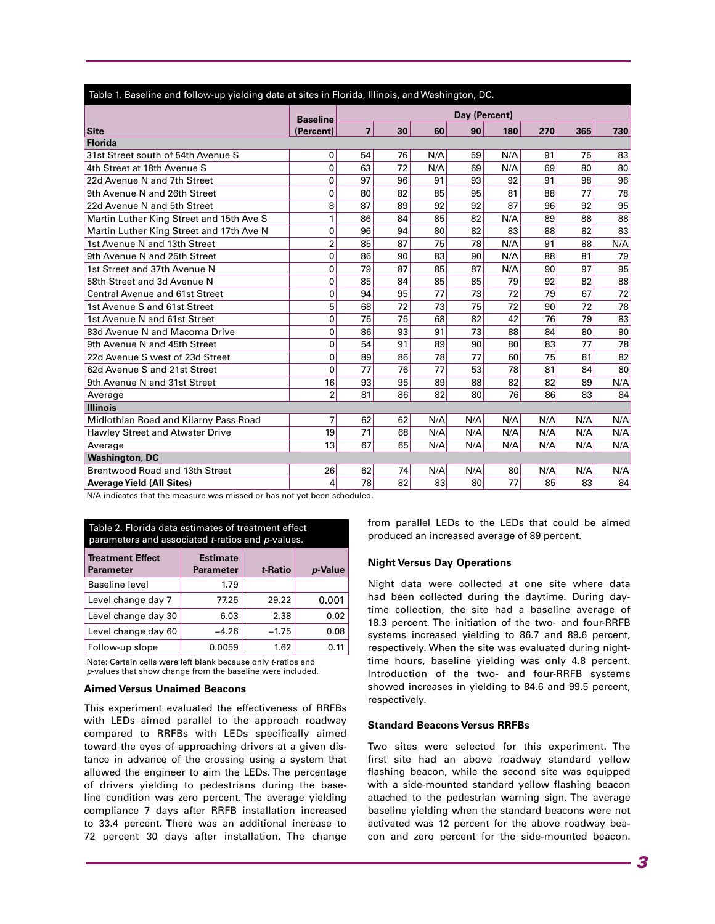| Table 1. Baseline and follow-up yielding data at sites in Florida, Illinois, and Washington, DC. |                 |                |    |     |     |     |     |     |                 |
|--------------------------------------------------------------------------------------------------|-----------------|----------------|----|-----|-----|-----|-----|-----|-----------------|
|                                                                                                  | <b>Baseline</b> | Day (Percent)  |    |     |     |     |     |     |                 |
| <b>Site</b>                                                                                      | (Percent)       | $\overline{7}$ | 30 | 60  | 90  | 180 | 270 | 365 | 730             |
| <b>Florida</b>                                                                                   |                 |                |    |     |     |     |     |     |                 |
| 31st Street south of 54th Avenue S                                                               | 0               | 54             | 76 | N/A | 59  | N/A | 91  | 75  | 83              |
| 4th Street at 18th Avenue S                                                                      | 0               | 63             | 72 | N/A | 69  | N/A | 69  | 80  | 80              |
| 22d Avenue N and 7th Street                                                                      | $\mathbf{0}$    | 97             | 96 | 91  | 93  | 92  | 91  | 98  | 96              |
| 9th Avenue N and 26th Street                                                                     | $\mathbf 0$     | 80             | 82 | 85  | 95  | 81  | 88  | 77  | 78              |
| 22d Avenue N and 5th Street                                                                      | 8               | 87             | 89 | 92  | 92  | 87  | 96  | 92  | $\overline{95}$ |
| Martin Luther King Street and 15th Ave S                                                         | 1               | 86             | 84 | 85  | 82  | N/A | 89  | 88  | 88              |
| Martin Luther King Street and 17th Ave N                                                         | 0               | 96             | 94 | 80  | 82  | 83  | 88  | 82  | 83              |
| 1st Avenue N and 13th Street                                                                     | $\overline{2}$  | 85             | 87 | 75  | 78  | N/A | 91  | 88  | N/A             |
| 9th Avenue N and 25th Street                                                                     | 0               | 86             | 90 | 83  | 90  | N/A | 88  | 81  | 79              |
| 1st Street and 37th Avenue N                                                                     | $\mathbf 0$     | 79             | 87 | 85  | 87  | N/A | 90  | 97  | 95              |
| 58th Street and 3d Avenue N                                                                      | $\mathbf 0$     | 85             | 84 | 85  | 85  | 79  | 92  | 82  | $\overline{88}$ |
| <b>Central Avenue and 61st Street</b>                                                            | 0               | 94             | 95 | 77  | 73  | 72  | 79  | 67  | 72              |
| 1st Avenue S and 61st Street                                                                     | 5               | 68             | 72 | 73  | 75  | 72  | 90  | 72  | $\overline{78}$ |
| 1st Avenue N and 61st Street                                                                     | 0               | 75             | 75 | 68  | 82  | 42  | 76  | 79  | 83              |
| 83d Avenue N and Macoma Drive                                                                    | 0               | 86             | 93 | 91  | 73  | 88  | 84  | 80  | 90              |
| 9th Avenue N and 45th Street                                                                     | 0               | 54             | 91 | 89  | 90  | 80  | 83  | 77  | 78              |
| 22d Avenue S west of 23d Street                                                                  | 0               | 89             | 86 | 78  | 77  | 60  | 75  | 81  | 82              |
| 62d Avenue S and 21st Street                                                                     | $\Omega$        | 77             | 76 | 77  | 53  | 78  | 81  | 84  | 80              |
| 9th Avenue N and 31st Street                                                                     | 16              | 93             | 95 | 89  | 88  | 82  | 82  | 89  | N/A             |
| Average                                                                                          | 2               | 81             | 86 | 82  | 80  | 76  | 86  | 83  | 84              |
| <b>Illinois</b>                                                                                  |                 |                |    |     |     |     |     |     |                 |
| Midlothian Road and Kilarny Pass Road                                                            | 7               | 62             | 62 | N/A | N/A | N/A | N/A | N/A | N/A             |
| <b>Hawley Street and Atwater Drive</b>                                                           | 19              | 71             | 68 | N/A | N/A | N/A | N/A | N/A | N/A             |
| Average                                                                                          | 13              | 67             | 65 | N/A | N/A | N/A | N/A | N/A | N/A             |
| <b>Washington, DC</b>                                                                            |                 |                |    |     |     |     |     |     |                 |
| Brentwood Road and 13th Street                                                                   | 26              | 62             | 74 | N/A | N/A | 80  | N/A | N/A | N/A             |
| <b>Average Yield (All Sites)</b>                                                                 | 4               | 78             | 82 | 83  | 80  | 77  | 85  | 83  | 84              |

#### N/A indicates that the measure was missed or has not yet been scheduled.

Table 2. Florida data estimates of treatment effect parameters and associated *t*-ratios and *p*-values.

| <b>Treatment Effect</b><br><b>Parameter</b> | <b>Estimate</b><br><b>Parameter</b> | t-Ratio | p-Value |
|---------------------------------------------|-------------------------------------|---------|---------|
| Baseline level                              | 1.79                                |         |         |
| Level change day 7                          | 77.25                               | 29.22   | 0.001   |
| Level change day 30                         | 6.03                                | 2.38    | 0.02    |
| Level change day 60                         | $-4.26$                             | $-1.75$ | 0.08    |
| Follow-up slope                             | 0.0059                              | 1.62    | 0.11    |

Note: Certain cells were left blank because only *t*-ratios and *p*-values that show change from the baseline were included.

#### **Aimed Versus Unaimed Beacons**

This experiment evaluated the effectiveness of RRFBs with LEDs aimed parallel to the approach roadway compared to RRFBs with LEDs specifically aimed toward the eyes of approaching drivers at a given distance in advance of the crossing using a system that allowed the engineer to aim the LEDs. The percentage of drivers yielding to pedestrians during the baseline condition was zero percent. The average yielding compliance 7 days after RRFB installation increased to 33.4 percent. There was an additional increase to 72 percent 30 days after installation. The change from parallel LEDs to the LEDs that could be aimed produced an increased average of 89 percent.

#### **Night Versus Day Operations**

Night data were collected at one site where data had been collected during the daytime. During daytime collection, the site had a baseline average of 18.3 percent. The initiation of the two- and four-RRFB systems increased yielding to 86.7 and 89.6 percent, respectively. When the site was evaluated during nighttime hours, baseline yielding was only 4.8 percent. Introduction of the two- and four-RRFB systems showed increases in yielding to 84.6 and 99.5 percent, respectively.

#### **Standard Beacons Versus RRFBs**

Two sites were selected for this experiment. The first site had an above roadway standard yellow flashing beacon, while the second site was equipped with a side-mounted standard yellow flashing beacon attached to the pedestrian warning sign. The average baseline yielding when the standard beacons were not activated was 12 percent for the above roadway beacon and zero percent for the side-mounted beacon.